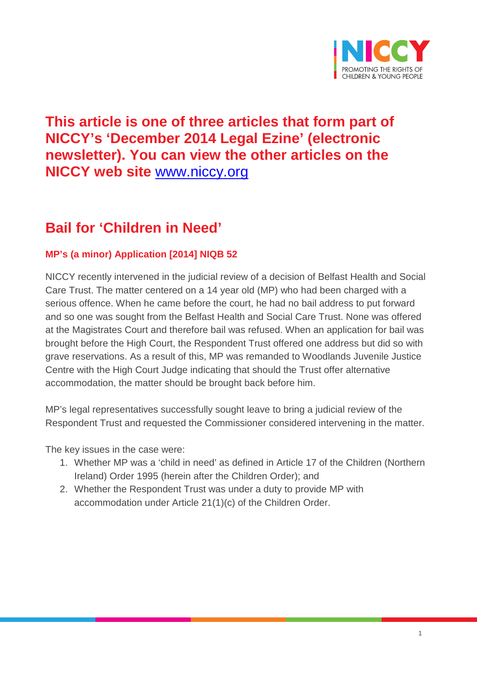

# **This article is one of three articles that form part of NICCY's 'December 2014 Legal Ezine' (electronic newsletter). You can view the other articles on the NICCY web site** [www.niccy.org](http://www.niccy.org/)

# **Bail for 'Children in Need'**

# **MP's (a minor) Application [2014] NIQB 52**

NICCY recently intervened in the judicial review of a decision of Belfast Health and Social Care Trust. The matter centered on a 14 year old (MP) who had been charged with a serious offence. When he came before the court, he had no bail address to put forward and so one was sought from the Belfast Health and Social Care Trust. None was offered at the Magistrates Court and therefore bail was refused. When an application for bail was brought before the High Court, the Respondent Trust offered one address but did so with grave reservations. As a result of this, MP was remanded to Woodlands Juvenile Justice Centre with the High Court Judge indicating that should the Trust offer alternative accommodation, the matter should be brought back before him.

MP's legal representatives successfully sought leave to bring a judicial review of the Respondent Trust and requested the Commissioner considered intervening in the matter.

The key issues in the case were:

- 1. Whether MP was a 'child in need' as defined in Article 17 of the Children (Northern Ireland) Order 1995 (herein after the Children Order); and
- 2. Whether the Respondent Trust was under a duty to provide MP with accommodation under Article 21(1)(c) of the Children Order.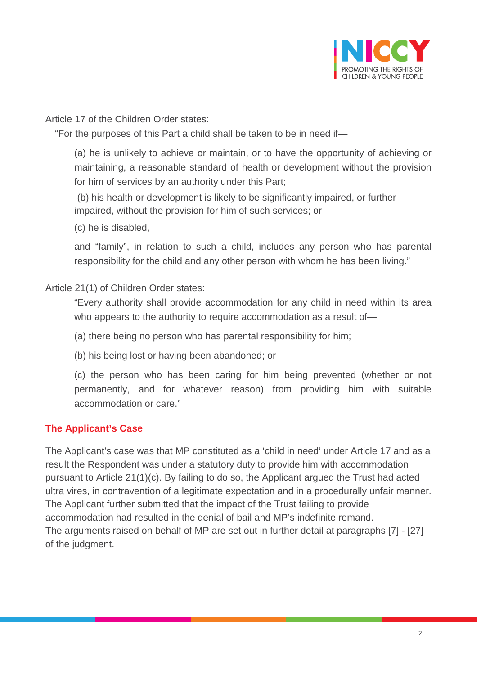

Article 17 of the Children Order states:

"For the purposes of this Part a child shall be taken to be in need if—

(a) he is unlikely to achieve or maintain, or to have the opportunity of achieving or maintaining, a reasonable standard of health or development without the provision for him of services by an authority under this Part;

(b) his health or development is likely to be significantly impaired, or further impaired, without the provision for him of such services; or

(c) he is disabled,

and "family", in relation to such a child, includes any person who has parental responsibility for the child and any other person with whom he has been living."

Article 21(1) of Children Order states:

"Every authority shall provide accommodation for any child in need within its area who appears to the authority to require accommodation as a result of-

(a) there being no person who has parental responsibility for him;

(b) his being lost or having been abandoned; or

(c) the person who has been caring for him being prevented (whether or not permanently, and for whatever reason) from providing him with suitable accommodation or care."

### **The Applicant's Case**

The Applicant's case was that MP constituted as a 'child in need' under Article 17 and as a result the Respondent was under a statutory duty to provide him with accommodation pursuant to Article 21(1)(c). By failing to do so, the Applicant argued the Trust had acted ultra vires, in contravention of a legitimate expectation and in a procedurally unfair manner. The Applicant further submitted that the impact of the Trust failing to provide accommodation had resulted in the denial of bail and MP's indefinite remand. The arguments raised on behalf of MP are set out in further detail at paragraphs [7] - [27] of the judgment.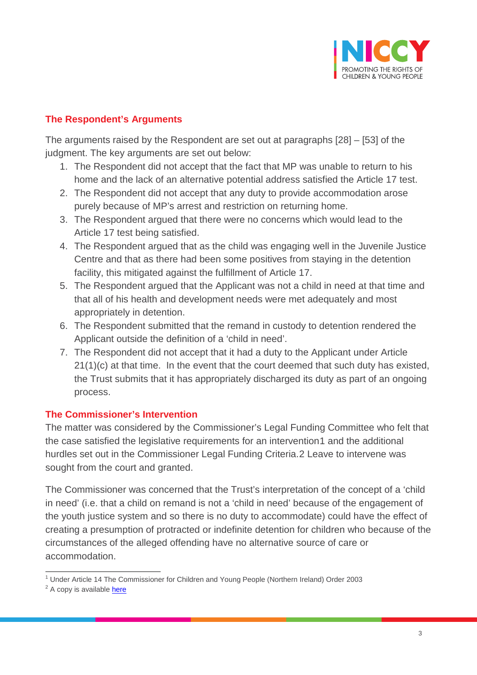

## **The Respondent's Arguments**

The arguments raised by the Respondent are set out at paragraphs [28] – [53] of the judgment. The key arguments are set out below:

- 1. The Respondent did not accept that the fact that MP was unable to return to his home and the lack of an alternative potential address satisfied the Article 17 test.
- 2. The Respondent did not accept that any duty to provide accommodation arose purely because of MP's arrest and restriction on returning home.
- 3. The Respondent argued that there were no concerns which would lead to the Article 17 test being satisfied.
- 4. The Respondent argued that as the child was engaging well in the Juvenile Justice Centre and that as there had been some positives from staying in the detention facility, this mitigated against the fulfillment of Article 17.
- 5. The Respondent argued that the Applicant was not a child in need at that time and that all of his health and development needs were met adequately and most appropriately in detention.
- 6. The Respondent submitted that the remand in custody to detention rendered the Applicant outside the definition of a 'child in need'.
- 7. The Respondent did not accept that it had a duty to the Applicant under Article 21(1)(c) at that time. In the event that the court deemed that such duty has existed, the Trust submits that it has appropriately discharged its duty as part of an ongoing process.

### **The Commissioner's Intervention**

The matter was considered by the Commissioner's Legal Funding Committee who felt that the case satisfied the legislative requirements for an intervention[1](#page-2-0) and the additional hurdles set out in the Commissioner Legal Funding Criteria.[2](#page-2-1) Leave to intervene was sought from the court and granted.

The Commissioner was concerned that the Trust's interpretation of the concept of a 'child in need' (i.e. that a child on remand is not a 'child in need' because of the engagement of the youth justice system and so there is no duty to accommodate) could have the effect of creating a presumption of protracted or indefinite detention for children who because of the circumstances of the alleged offending have no alternative source of care or accommodation.

<span id="page-2-0"></span><sup>1</sup> Under Article 14 The Commissioner for Children and Young People (Northern Ireland) Order 2003

<span id="page-2-1"></span><sup>&</sup>lt;sup>2</sup> A copy is available **here**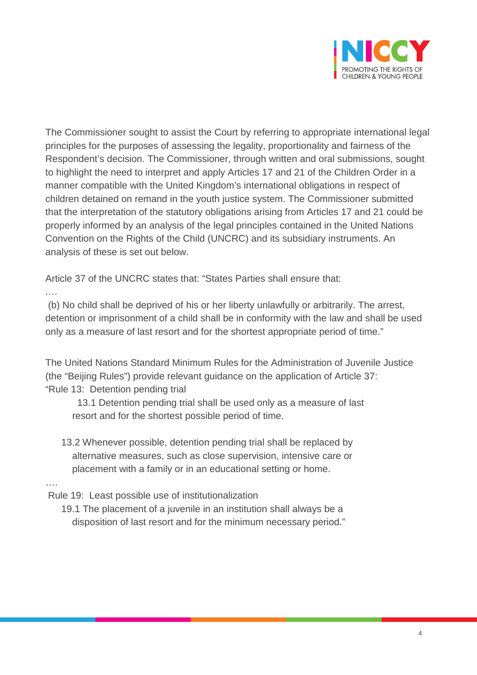

The Commissioner sought to assist the Court by referring to appropriate international legal principles for the purposes of assessing the legality, proportionality and fairness of the Respondent's decision. The Commissioner, through written and oral submissions, sought to highlight the need to interpret and apply Articles 17 and 21 of the Children Order in a manner compatible with the United Kingdom's international obligations in respect of children detained on remand in the youth justice system. The Commissioner submitted that the interpretation of the statutory obligations arising from Articles 17 and 21 could be properly informed by an analysis of the legal principles contained in the United Nations Convention on the Rights of the Child (UNCRC) and its subsidiary instruments. An analysis of these is set out below.

Article 37 of the UNCRC states that: "States Parties shall ensure that:

(b) No child shall be deprived of his or her liberty unlawfully or arbitrarily. The arrest, detention or imprisonment of a child shall be in conformity with the law and shall be used only as a measure of last resort and for the shortest appropriate period of time."

The United Nations Standard Minimum Rules for the Administration of Juvenile Justice (the "Beijing Rules") provide relevant guidance on the application of Article 37: "Rule 13: Detention pending trial

 13.1 Detention pending trial shall be used only as a measure of last resort and for the shortest possible period of time.

 13.2 Whenever possible, detention pending trial shall be replaced by alternative measures, such as close supervision, intensive care or placement with a family or in an educational setting or home.

….

*….*

Rule 19: Least possible use of institutionalization

 19.1 The placement of a juvenile in an institution shall always be a disposition of last resort and for the minimum necessary period."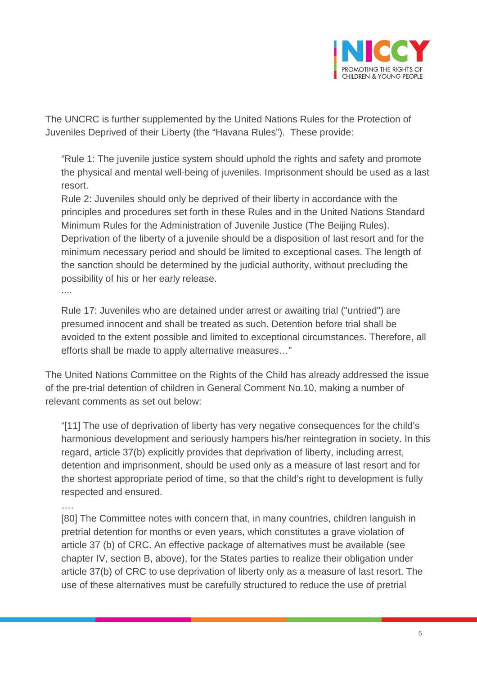

The UNCRC is further supplemented by the United Nations Rules for the Protection of Juveniles Deprived of their Liberty (the "Havana Rules"). These provide:

"Rule 1: The juvenile justice system should uphold the rights and safety and promote the physical and mental well-being of juveniles. Imprisonment should be used as a last resort.

Rule 2: Juveniles should only be deprived of their liberty in accordance with the principles and procedures set forth in these Rules and in the United Nations Standard Minimum Rules for the Administration of Juvenile Justice (The Beijing Rules). Deprivation of the liberty of a juvenile should be a disposition of last resort and for the minimum necessary period and should be limited to exceptional cases. The length of the sanction should be determined by the judicial authority, without precluding the possibility of his or her early release.

….

Rule 17: Juveniles who are detained under arrest or awaiting trial ("untried") are presumed innocent and shall be treated as such. Detention before trial shall be avoided to the extent possible and limited to exceptional circumstances. Therefore, all efforts shall be made to apply alternative measures…"

The United Nations Committee on the Rights of the Child has already addressed the issue of the pre-trial detention of children in General Comment No.10, making a number of relevant comments as set out below:

"[11] The use of deprivation of liberty has very negative consequences for the child's harmonious development and seriously hampers his/her reintegration in society. In this regard, article 37(b) explicitly provides that deprivation of liberty, including arrest, detention and imprisonment, should be used only as a measure of last resort and for the shortest appropriate period of time, so that the child's right to development is fully respected and ensured.

….

[80] The Committee notes with concern that, in many countries, children languish in pretrial detention for months or even years, which constitutes a grave violation of article 37 (b) of CRC. An effective package of alternatives must be available (see chapter IV, section B, above), for the States parties to realize their obligation under article 37(b) of CRC to use deprivation of liberty only as a measure of last resort. The use of these alternatives must be carefully structured to reduce the use of pretrial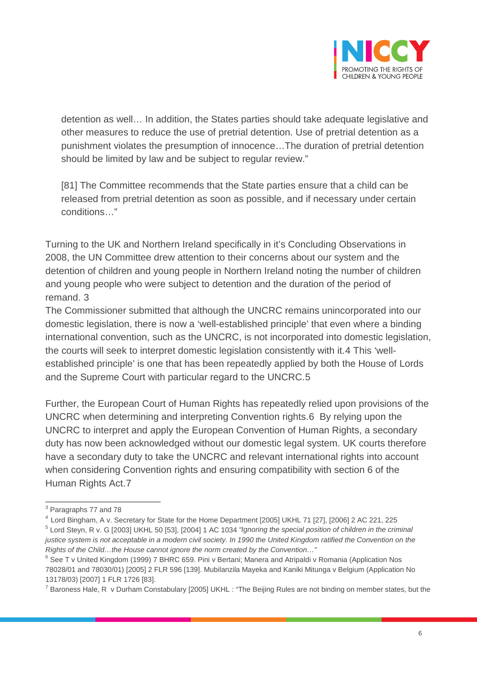

detention as well… In addition, the States parties should take adequate legislative and other measures to reduce the use of pretrial detention. Use of pretrial detention as a punishment violates the presumption of innocence…The duration of pretrial detention should be limited by law and be subject to regular review."

[81] The Committee recommends that the State parties ensure that a child can be released from pretrial detention as soon as possible, and if necessary under certain conditions…"

Turning to the UK and Northern Ireland specifically in it's Concluding Observations in 2008, the UN Committee drew attention to their concerns about our system and the detention of children and young people in Northern Ireland noting the number of children and young people who were subject to detention and the duration of the period of remand. [3](#page-5-0)

The Commissioner submitted that although the UNCRC remains unincorporated into our domestic legislation, there is now a 'well-established principle' that even where a binding international convention, such as the UNCRC, is not incorporated into domestic legislation, the courts will seek to interpret domestic legislation consistently with it.[4](#page-5-1) This 'wellestablished principle' is one that has been repeatedly applied by both the House of Lords and the Supreme Court with particular regard to the UNCRC.[5](#page-5-2)

Further, the European Court of Human Rights has repeatedly relied upon provisions of the UNCRC when determining and interpreting Convention rights.[6](#page-5-3) By relying upon the UNCRC to interpret and apply the European Convention of Human Rights, a secondary duty has now been acknowledged without our domestic legal system. UK courts therefore have a secondary duty to take the UNCRC and relevant international rights into account when considering Convention rights and ensuring compatibility with section 6 of the Human Rights Act.[7](#page-5-4)

<span id="page-5-0"></span><sup>3</sup> Paragraphs 77 and 78

<span id="page-5-1"></span><sup>4</sup> Lord Bingham, A v. Secretary for State for the Home Department [2005] UKHL 71 [27], [2006] 2 AC 221, 225

<span id="page-5-2"></span><sup>5</sup> Lord Steyn, R v. G [2003] UKHL 50 [53], [2004] 1 AC 1034 *"Ignoring the special position of children in the criminal justice system is not acceptable in a modern civil society. In 1990 the United Kingdom ratified the Convention on the Rights of the Child…the House cannot ignore the norm created by the Convention…"*

<span id="page-5-3"></span><sup>&</sup>lt;sup>6</sup> See T v United Kingdom (1999) 7 BHRC 659. Pini v Bertani; Manera and Atripaldi v Romania (Application Nos 78028/01 and 78030/01) [2005] 2 FLR 596 [139]. Mubilanzila Mayeka and Kaniki Mitunga v Belgium (Application No 13178/03) [2007] 1 FLR 1726 [83].

<span id="page-5-4"></span> $7$  Baroness Hale, R v Durham Constabulary [2005] UKHL : "The Beijing Rules are not binding on member states, but the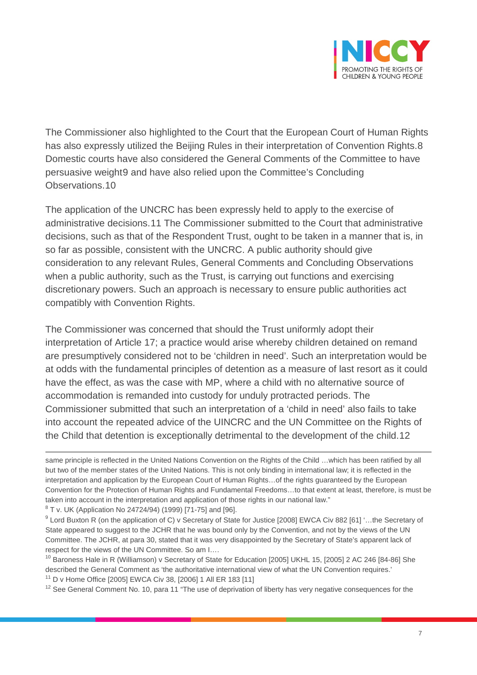

The Commissioner also highlighted to the Court that the European Court of Human Rights has also expressly utilized the Beijing Rules in their interpretation of Convention Rights.[8](#page-6-0) Domestic courts have also considered the General Comments of the Committee to have persuasive weight[9](#page-6-1) and have also relied upon the Committee's Concluding Observations.[10](#page-6-2)

The application of the UNCRC has been expressly held to apply to the exercise of administrative decisions.[11](#page-6-3) The Commissioner submitted to the Court that administrative decisions, such as that of the Respondent Trust, ought to be taken in a manner that is, in so far as possible, consistent with the UNCRC. A public authority should give consideration to any relevant Rules, General Comments and Concluding Observations when a public authority, such as the Trust, is carrying out functions and exercising discretionary powers. Such an approach is necessary to ensure public authorities act compatibly with Convention Rights.

The Commissioner was concerned that should the Trust uniformly adopt their interpretation of Article 17; a practice would arise whereby children detained on remand are presumptively considered not to be 'children in need'. Such an interpretation would be at odds with the fundamental principles of detention as a measure of last resort as it could have the effect, as was the case with MP, where a child with no alternative source of accommodation is remanded into custody for unduly protracted periods. The Commissioner submitted that such an interpretation of a 'child in need' also fails to take into account the repeated advice of the UINCRC and the UN Committee on the Rights of the Child that detention is exceptionally detrimental to the development of the child.[12](#page-6-4)

<span id="page-6-0"></span> $8$  T v. UK (Application No 24724/94) (1999) [71-75] and [96].

<span id="page-6-3"></span><sup>11</sup> D v Home Office [2005] EWCA Civ 38, [2006] 1 All ER 183 [11]

<span id="page-6-4"></span> $12$  See General Comment No. 10, para 11 "The use of deprivation of liberty has very negative consequences for the

 $\overline{a}$ same principle is reflected in the United Nations Convention on the Rights of the Child …which has been ratified by all but two of the member states of the United Nations. This is not only binding in international law; it is reflected in the interpretation and application by the European Court of Human Rights…of the rights guaranteed by the European Convention for the Protection of Human Rights and Fundamental Freedoms…to that extent at least, therefore, is must be taken into account in the interpretation and application of those rights in our national law."

<span id="page-6-1"></span><sup>9</sup> Lord Buxton R (on the application of C) v Secretary of State for Justice [2008] EWCA Civ 882 [61] '…the Secretary of State appeared to suggest to the JCHR that he was bound only by the Convention, and not by the views of the UN Committee. The JCHR, at para 30, stated that it was very disappointed by the Secretary of State's apparent lack of respect for the views of the UN Committee. So am I….

<span id="page-6-2"></span><sup>&</sup>lt;sup>10</sup> Baroness Hale in R (Williamson) v Secretary of State for Education [2005] UKHL 15, [2005] 2 AC 246 [84-86] She described the General Comment as 'the authoritative international view of what the UN Convention requires.'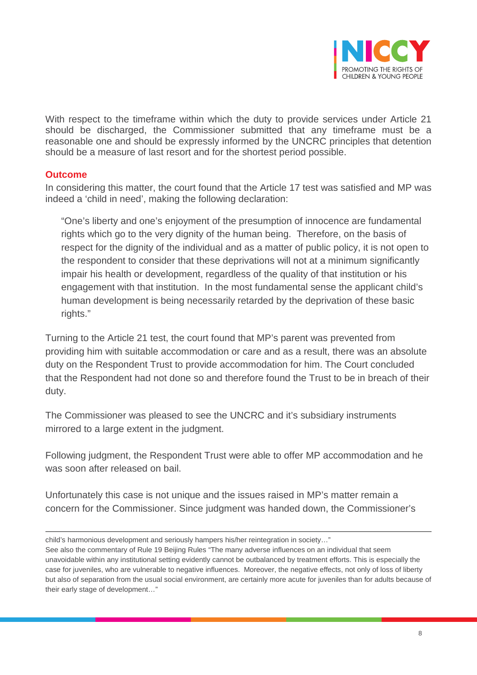

With respect to the timeframe within which the duty to provide services under Article 21 should be discharged, the Commissioner submitted that any timeframe must be a reasonable one and should be expressly informed by the UNCRC principles that detention should be a measure of last resort and for the shortest period possible.

#### **Outcome**

In considering this matter, the court found that the Article 17 test was satisfied and MP was indeed a 'child in need', making the following declaration:

"One's liberty and one's enjoyment of the presumption of innocence are fundamental rights which go to the very dignity of the human being. Therefore, on the basis of respect for the dignity of the individual and as a matter of public policy, it is not open to the respondent to consider that these deprivations will not at a minimum significantly impair his health or development, regardless of the quality of that institution or his engagement with that institution. In the most fundamental sense the applicant child's human development is being necessarily retarded by the deprivation of these basic rights."

Turning to the Article 21 test, the court found that MP's parent was prevented from providing him with suitable accommodation or care and as a result, there was an absolute duty on the Respondent Trust to provide accommodation for him. The Court concluded that the Respondent had not done so and therefore found the Trust to be in breach of their duty.

The Commissioner was pleased to see the UNCRC and it's subsidiary instruments mirrored to a large extent in the judgment.

Following judgment, the Respondent Trust were able to offer MP accommodation and he was soon after released on bail.

Unfortunately this case is not unique and the issues raised in MP's matter remain a concern for the Commissioner. Since judgment was handed down, the Commissioner's

 $\overline{a}$ child's harmonious development and seriously hampers his/her reintegration in society…"

See also the commentary of Rule 19 Beijing Rules "The many adverse influences on an individual that seem unavoidable within any institutional setting evidently cannot be outbalanced by treatment efforts. This is especially the case for juveniles, who are vulnerable to negative influences. Moreover, the negative effects, not only of loss of liberty but also of separation from the usual social environment, are certainly more acute for juveniles than for adults because of their early stage of development…"